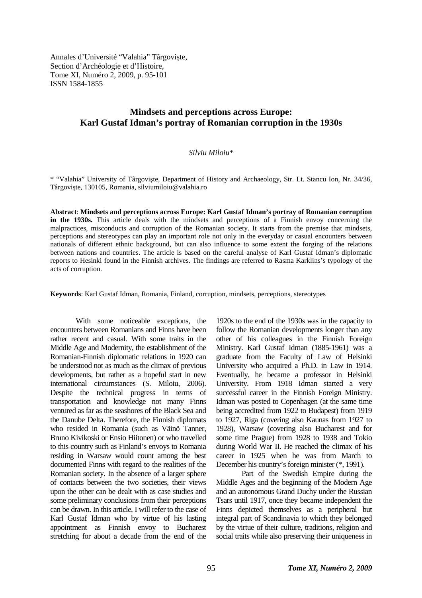Annales d'Université "Valahia" Târgovişte, Section d'Archéologie et d'Histoire, Tome XI, Numéro 2, 2009, p. 95-101 ISSN 1584-1855

# **Mindsets and perceptions across Europe: Karl Gustaf Idman's portray of Romanian corruption in the 1930s**

### *Silviu Miloiu*\*

\* "Valahia" University of Târgovişte, Department of History and Archaeology, Str. Lt. Stancu Ion, Nr. 34/36, Târgovişte, 130105, Romania, silviumiloiu@valahia.ro

**Abstract**: **Mindsets and perceptions across Europe: Karl Gustaf Idman's portray of Romanian corruption in the 1930s.** This article deals with the mindsets and perceptions of a Finnish envoy concerning the malpractices, misconducts and corruption of the Romanian society. It starts from the premise that mindsets, perceptions and stereotypes can play an important role not only in the everyday or casual encounters between nationals of different ethnic background, but can also influence to some extent the forging of the relations between nations and countries. The article is based on the careful analyse of Karl Gustaf Idman's diplomatic reports to Hesinki found in the Finnish archives. The findings are referred to Rasma Karklins's typology of the acts of corruption.

**Keywords**: Karl Gustaf Idman, Romania, Finland, corruption, mindsets, perceptions, stereotypes

With some noticeable exceptions, the encounters between Romanians and Finns have been rather recent and casual. With some traits in the Middle Age and Modernity, the establishment of the Romanian-Finnish diplomatic relations in 1920 can be understood not as much as the climax of previous developments, but rather as a hopeful start in new international circumstances (S. Miloiu, 2006). Despite the technical progress in terms of transportation and knowledge not many Finns ventured as far as the seashores of the Black Sea and the Danube Delta. Therefore, the Finnish diplomats who resided in Romania (such as Väinö Tanner, Bruno Kivikoski or Ensio Hiitonen) or who travelled to this country such as Finland's envoys to Romania residing in Warsaw would count among the best documented Finns with regard to the realities of the Romanian society. In the absence of a larger sphere of contacts between the two societies, their views upon the other can be dealt with as case studies and some preliminary conclusions from their perceptions can be drawn. In this article, I will refer to the case of Karl Gustaf Idman who by virtue of his lasting appointment as Finnish envoy to Bucharest stretching for about a decade from the end of the

1920s to the end of the 1930s was in the capacity to follow the Romanian developments longer than any other of his colleagues in the Finnish Foreign Ministry. Karl Gustaf Idman (1885-1961) was a graduate from the Faculty of Law of Helsinki University who acquired a Ph.D. in Law in 1914. Eventually, he became a professor in Helsinki University. From 1918 Idman started a very successful career in the Finnish Foreign Ministry. Idman was posted to Copenhagen (at the same time being accredited from 1922 to Budapest) from 1919 to 1927, Riga (covering also Kaunas from 1927 to 1928), Warsaw (covering also Bucharest and for some time Prague) from 1928 to 1938 and Tokio during World War II. He reached the climax of his career in 1925 when he was from March to December his country's foreign minister (\*, 1991).

Part of the Swedish Empire during the Middle Ages and the beginning of the Modern Age and an autonomous Grand Duchy under the Russian Tsars until 1917, once they became independent the Finns depicted themselves as a peripheral but integral part of Scandinavia to which they belonged by the virtue of their culture, traditions, religion and social traits while also preserving their uniqueness in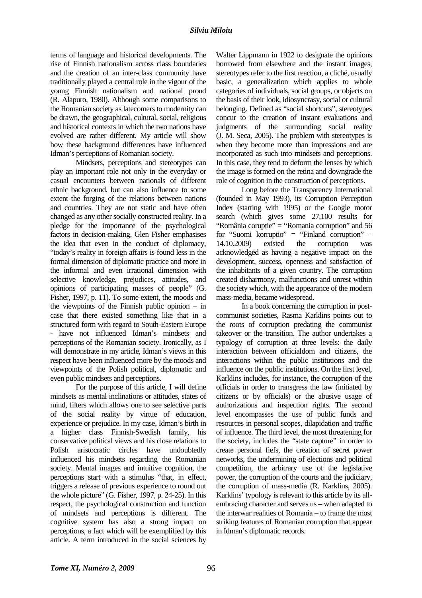terms of language and historical developments. The rise of Finnish nationalism across class boundaries and the creation of an inter-class community have traditionally played a central role in the vigour of the young Finnish nationalism and national proud (R. Alapuro, 1980). Although some comparisons to the Romanian society as latecomers to modernity can be drawn, the geographical, cultural, social, religious and historical contexts in which the two nations have evolved are rather different. My article will show how these background differences have influenced Idman's perceptions of Romanian society.

Mindsets, perceptions and stereotypes can play an important role not only in the everyday or casual encounters between nationals of different ethnic background, but can also influence to some extent the forging of the relations between nations and countries. They are not static and have often changed as any other socially constructed reality. In a pledge for the importance of the psychological factors in decision-making, Glen Fisher emphasises the idea that even in the conduct of diplomacy, "today's reality in foreign affairs is found less in the formal dimension of diplomatic practice and more in the informal and even irrational dimension with selective knowledge, prejudices, attitudes, and opinions of participating masses of people" (G. Fisher, 1997, p. 11). To some extent, the moods and the viewpoints of the Finnish public opinion – in case that there existed something like that in a structured form with regard to South-Eastern Europe - have not influenced Idman's mindsets and perceptions of the Romanian society. Ironically, as I will demonstrate in my article, Idman's views in this respect have been influenced more by the moods and viewpoints of the Polish political, diplomatic and even public mindsets and perceptions.

For the purpose of this article, I will define mindsets as mental inclinations or attitudes, states of mind, filters which allows one to see selective parts of the social reality by virtue of education, experience or prejudice. In my case, Idman's birth in a higher class Finnish-Swedish family, his conservative political views and his close relations to Polish aristocratic circles have undoubtedly influenced his mindsets regarding the Romanian society. Mental images and intuitive cognition, the perceptions start with a stimulus "that, in effect, triggers a release of previous experience to round out the whole picture" (G. Fisher, 1997, p. 24-25). In this respect, the psychological construction and function of mindsets and perceptions is different. The cognitive system has also a strong impact on perceptions, a fact which will be exemplified by this article. A term introduced in the social sciences by

Walter Lippmann in 1922 to designate the opinions borrowed from elsewhere and the instant images, stereotypes refer to the first reaction, a cliché, usually basic, a generalization which applies to whole categories of individuals, social groups, or objects on the basis of their look, idiosyncrasy, social or cultural belonging. Defined as "social shortcuts", stereotypes concur to the creation of instant evaluations and judgments of the surrounding social reality (J. M. Seca, 2005). The problem with stereotypes is when they become more than impressions and are incorporated as such into mindsets and perceptions. In this case, they tend to deform the lenses by which the image is formed on the retina and downgrade the role of cognition in the construction of perceptions.

Long before the Transparency International (founded in May 1993), its Corruption Perception Index (starting with 1995) or the Google motor search (which gives some 27,100 results for "România coruptie" = "Romania corruption" and  $56$ for "Suomi korruptio" = "Finland corruption" – 14.10.2009) existed the corruption was acknowledged as having a negative impact on the development, success, openness and satisfaction of the inhabitants of a given country. The corruption created disharmony, malfunctions and unrest within the society which, with the appearance of the modern mass-media, became widespread.

In a book concerning the corruption in postcommunist societies, Rasma Karklins points out to the roots of corruption predating the communist takeover or the transition. The author undertakes a typology of corruption at three levels: the daily interaction between officialdom and citizens, the interactions within the public institutions and the influence on the public institutions. On the first level, Karklins includes, for instance, the corruption of the officials in order to transgress the law (initiated by citizens or by officials) or the abusive usage of authorizations and inspection rights. The second level encompasses the use of public funds and resources in personal scopes, dilapidation and traffic of influence. The third level, the most threatening for the society, includes the "state capture" in order to create personal fiefs, the creation of secret power networks, the undermining of elections and political competition, the arbitrary use of the legislative power, the corruption of the courts and the judiciary, the corruption of mass-media (R. Karklins, 2005). Karklins' typology is relevant to this article by its allembracing character and serves us – when adapted to the interwar realities of Romania – to frame the most striking features of Romanian corruption that appear in Idman's diplomatic records.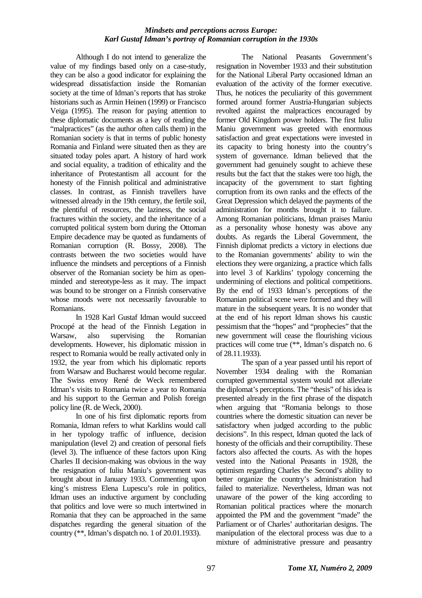### *Mindsets and perceptions across Europe: Karl Gustaf Idman's portray of Romanian corruption in the 1930s*

Although I do not intend to generalize the value of my findings based only on a case-study, they can be also a good indicator for explaining the widespread dissatisfaction inside the Romanian society at the time of Idman's reports that has stroke historians such as Armin Heinen (1999) or Francisco Veiga (1995). The reason for paying attention to these diplomatic documents as a key of reading the "malpractices" (as the author often calls them) in the Romanian society is that in terms of public honesty Romania and Finland were situated then as they are situated today poles apart. A history of hard work and social equality, a tradition of ethicality and the inheritance of Protestantism all account for the honesty of the Finnish political and administrative classes. In contrast, as Finnish travellers have witnessed already in the 19th century, the fertile soil, the plentiful of resources, the laziness, the social fractures within the society, and the inheritance of a corrupted political system born during the Ottoman Empire decadence may be quoted as fundaments of Romanian corruption (R. Bossy, 2008). The contrasts between the two societies would have influence the mindsets and perceptions of a Finnish observer of the Romanian society be him as openminded and stereotype-less as it may. The impact was bound to be stronger on a Finnish conservative whose moods were not necessarily favourable to Romanians.

In 1928 Karl Gustaf Idman would succeed Procopé at the head of the Finnish Legation in Warsaw, also supervising the Romanian developments. However, his diplomatic mission in respect to Romania would be really activated only in 1932, the year from which his diplomatic reports from Warsaw and Bucharest would become regular. The Swiss envoy René de Weck remembered Idman's visits to Romania twice a year to Romania and his support to the German and Polish foreign policy line (R. de Weck, 2000).

In one of his first diplomatic reports from Romania, Idman refers to what Karklins would call in her typology traffic of influence, decision manipulation (level 2) and creation of personal fiefs (level 3). The influence of these factors upon King Charles II decision-making was obvious in the way the resignation of Iuliu Maniu's government was brought about in January 1933. Commenting upon king's mistress Elena Lupescu's role in politics, Idman uses an inductive argument by concluding that politics and love were so much intertwined in Romania that they can be approached in the same dispatches regarding the general situation of the country (\*\*, Idman's dispatch no. 1 of 20.01.1933).

The National Peasants Government's resignation in November 1933 and their substitution for the National Liberal Party occasioned Idman an evaluation of the activity of the former executive. Thus, he notices the peculiarity of this government formed around former Austria-Hungarian subjects revolted against the malpractices encouraged by former Old Kingdom power holders. The first Iuliu Maniu government was greeted with enormous satisfaction and great expectations were invested in its capacity to bring honesty into the country's system of governance. Idman believed that the government had genuinely sought to achieve these results but the fact that the stakes were too high, the incapacity of the government to start fighting corruption from its own ranks and the effects of the Great Depression which delayed the payments of the administration for months brought it to failure. Among Romanian politicians, Idman praises Maniu as a personality whose honesty was above any doubts. As regards the Liberal Government, the Finnish diplomat predicts a victory in elections due to the Romanian governments' ability to win the elections they were organizing, a practice which falls into level 3 of Karklins' typology concerning the undermining of elections and political competitions. By the end of 1933 Idman's perceptions of the Romanian political scene were formed and they will mature in the subsequent years. It is no wonder that at the end of his report Idman shows his caustic pessimism that the "hopes" and "prophecies" that the new government will cease the flourishing vicious practices will come true (\*\*, Idman's dispatch no. 6 of 28.11.1933).

The span of a year passed until his report of November 1934 dealing with the Romanian corrupted governmental system would not alleviate the diplomat's perceptions. The "thesis" of his idea is presented already in the first phrase of the dispatch when arguing that "Romania belongs to those countries where the domestic situation can never be satisfactory when judged according to the public decisions". In this respect, Idman quoted the lack of honesty of the officials and their corruptibility. These factors also affected the courts. As with the hopes vested into the National Peasants in 1928, the optimism regarding Charles the Second's ability to better organize the country's administration had failed to materialize. Nevertheless, Idman was not unaware of the power of the king according to Romanian political practices where the monarch appointed the PM and the government "made" the Parliament or of Charles' authoritarian designs. The manipulation of the electoral process was due to a mixture of administrative pressure and peasantry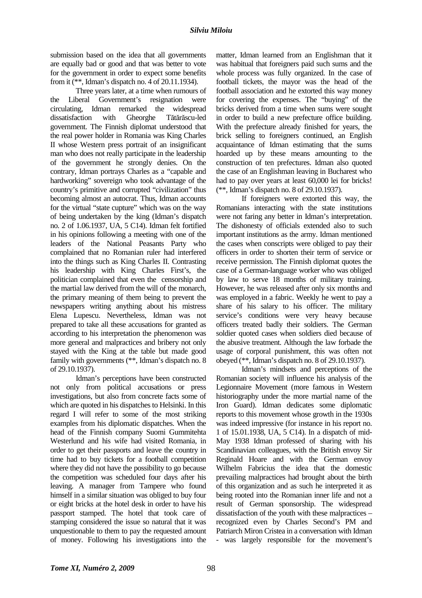submission based on the idea that all governments are equally bad or good and that was better to vote for the government in order to expect some benefits from it (\*\*, Idman's dispatch no. 4 of 20.11.1934).

Three years later, at a time when rumours of the Liberal Government's resignation were circulating, Idman remarked the widespread dissatisfaction with Gheorghe Tătărăscu-led government. The Finnish diplomat understood that the real power holder in Romania was King Charles II whose Western press portrait of an insignificant man who does not really participate in the leadership of the government he strongly denies. On the contrary, Idman portrays Charles as a "capable and hardworking" sovereign who took advantage of the country's primitive and corrupted "civilization" thus becoming almost an autocrat. Thus, Idman accounts for the virtual "state cupture" which was on the way of being undertaken by the king (Idman's dispatch no. 2 of 1.06.1937, UA, 5 C14). Idman felt fortified in his opinions following a meeting with one of the leaders of the National Peasants Party who complained that no Romanian ruler had interfered into the things such as King Charles II. Contrasting his leadership with King Charles First's, the politician complained that even the censorship and the martial law derived from the will of the monarch, the primary meaning of them being to prevent the newspapers writing anything about his mistress Elena Lupescu. Nevertheless, Idman was not prepared to take all these accusations for granted as according to his interpretation the phenomenon was more general and malpractices and bribery not only stayed with the King at the table but made good family with governments (\*\*, Idman's dispatch no. 8 of 29.10.1937).

Idman's perceptions have been constructed not only from political accusations or press investigations, but also from concrete facts some of which are quoted in his dispatches to Helsinki. In this regard I will refer to some of the most striking examples from his diplomatic dispatches. When the head of the Finnish company Suomi Gummitehta Westerlund and his wife had visited Romania, in order to get their passports and leave the country in time had to buy tickets for a football competition where they did not have the possibility to go because the competition was scheduled four days after his leaving. A manager from Tampere who found himself in a similar situation was obliged to buy four or eight bricks at the hotel desk in order to have his passport stamped. The hotel that took care of stamping considered the issue so natural that it was unquestionable to them to pay the requested amount of money. Following his investigations into the

matter, Idman learned from an Englishman that it was habitual that foreigners paid such sums and the whole process was fully organized. In the case of football tickets, the mayor was the head of the football association and he extorted this way money for covering the expenses. The "buying" of the bricks derived from a time when sums were sought in order to build a new prefecture office building. With the prefecture already finished for years, the brick selling to foreigners continued, an English acquaintance of Idman estimating that the sums hoarded up by these means amounting to the construction of ten prefectures. Idman also quoted the case of an Englishman leaving in Bucharest who had to pay over years at least 60,000 lei for bricks! (\*\*, Idman's dispatch no. 8 of 29.10.1937).

If foreigners were extorted this way, the Romanians interacting with the state institutions were not faring any better in Idman's interpretation. The dishonesty of officials extended also to such important institutions as the army. Idman mentioned the cases when conscripts were obliged to pay their officers in order to shorten their term of service or receive permission. The Finnish diplomat quotes the case of a German-language worker who was obliged by law to serve 18 months of military training. However, he was released after only six months and was employed in a fabric. Weekly he went to pay a share of his salary to his officer. The military service's conditions were very heavy because officers treated badly their soldiers. The German soldier quoted cases when soldiers died because of the abusive treatment. Although the law forbade the usage of corporal punishment, this was often not obeyed (\*\*, Idman's dispatch no. 8 of 29.10.1937).

Idman's mindsets and perceptions of the Romanian society will influence his analysis of the Legionnaire Movement (more famous in Western historiography under the more martial name of the Iron Guard). Idman dedicates some diplomatic reports to this movement whose growth in the 1930s was indeed impressive (for instance in his report no. 1 of 15.01.1938, UA, 5 C14). In a dispatch of mid-May 1938 Idman professed of sharing with his Scandinavian colleagues, with the British envoy Sir Reginald Hoare and with the German envoy Wilhelm Fabricius the idea that the domestic prevailing malpractices had brought about the birth of this organization and as such he interpreted it as being rooted into the Romanian inner life and not a result of German sponsorship. The widespread dissatisfaction of the youth with these malpractices – recognized even by Charles Second's PM and Patriarch Miron Cristea in a conversation with Idman - was largely responsible for the movement's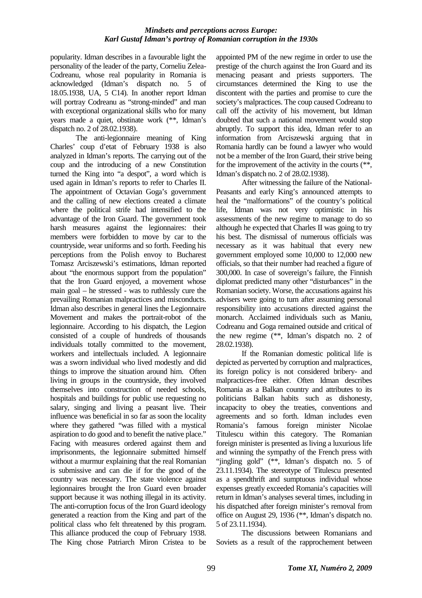### *Mindsets and perceptions across Europe: Karl Gustaf Idman's portray of Romanian corruption in the 1930s*

popularity. Idman describes in a favourable light the personality of the leader of the party, Corneliu Zelea-Codreanu, whose real popularity in Romania is acknowledged (Idman's dispatch no. 5 of 18.05.1938, UA, 5 C14). In another report Idman will portray Codreanu as "strong-minded" and man with exceptional organizational skills who for many years made a quiet, obstinate work (\*\*, Idman's dispatch no. 2 of 28.02.1938).

The anti-legionnaire meaning of King Charles' coup d'etat of February 1938 is also analyzed in Idman's reports. The carrying out of the coup and the introducing of a new Constitution turned the King into "a despot", a word which is used again in Idman's reports to refer to Charles II. The appointment of Octavian Goga's government and the calling of new elections created a climate where the political strife had intensified to the advantage of the Iron Guard. The government took harsh measures against the legionnaires: their members were forbidden to move by car to the countryside, wear uniforms and so forth. Feeding his perceptions from the Polish envoy to Bucharest Tomasz Arciszewski's estimations, Idman reported about "the enormous support from the population" that the Iron Guard enjoyed, a movement whose main goal – he stressed - was to ruthlessly cure the prevailing Romanian malpractices and misconducts. Idman also describes in general lines the Legionnaire Movement and makes the portrait-robot of the legionnaire. According to his dispatch, the Legion consisted of a couple of hundreds of thousands individuals totally committed to the movement, workers and intellectuals included. A legionnaire was a sworn individual who lived modestly and did things to improve the situation around him. Often living in groups in the countryside, they involved themselves into construction of needed schools, hospitals and buildings for public use requesting no salary, singing and living a peasant live. Their influence was beneficial in so far as soon the locality where they gathered "was filled with a mystical aspiration to do good and to benefit the native place." Facing with measures ordered against them and imprisonments, the legionnaire submitted himself without a murmur explaining that the real Romanian is submissive and can die if for the good of the country was necessary. The state violence against legionnaires brought the Iron Guard even broader support because it was nothing illegal in its activity. The anti-corruption focus of the Iron Guard ideology generated a reaction from the King and part of the political class who felt threatened by this program. This alliance produced the coup of February 1938. The King chose Patriarch Miron Cristea to be

appointed PM of the new regime in order to use the prestige of the church against the Iron Guard and its menacing peasant and priests supporters. The circumstances determined the King to use the discontent with the parties and promise to cure the society's malpractices. The coup caused Codreanu to call off the activity of his movement, but Idman doubted that such a national movement would stop abruptly. To support this idea, Idman refer to an information from Arciszewski arguing that in Romania hardly can be found a lawyer who would not be a member of the Iron Guard, their strive being for the improvement of the activity in the courts (\*\*, Idman's dispatch no. 2 of 28.02.1938).

After witnessing the failure of the National-Peasants and early King's announced attempts to heal the "malformations" of the country's political life, Idman was not very optimistic in his assessments of the new regime to manage to do so although he expected that Charles II was going to try his best. The dismissal of numerous officials was necessary as it was habitual that every new government employed some 10,000 to 12,000 new officials, so that their number had reached a figure of 300,000. In case of sovereign's failure, the Finnish diplomat predicted many other "disturbances" in the Romanian society. Worse, the accusations against his advisers were going to turn after assuming personal responsibility into accusations directed against the monarch. Acclaimed individuals such as Maniu, Codreanu and Goga remained outside and critical of the new regime (\*\*, Idman's dispatch no. 2 of 28.02.1938).

If the Romanian domestic political life is depicted as perverted by corruption and malpractices, its foreign policy is not considered bribery- and malpractices-free either. Often Idman describes Romania as a Balkan country and attributes to its politicians Balkan habits such as dishonesty, incapacity to obey the treaties, conventions and agreements and so forth. Idman includes even Romania's famous foreign minister Nicolae Titulescu within this category. The Romanian foreign minister is presented as living a luxurious life and winning the sympathy of the French press with "jingling gold" (\*\*, Idman's dispatch no. 5 of 23.11.1934). The stereotype of Titulescu presented as a spendthrift and sumptuous individual whose expenses greatly exceeded Romania's capacities will return in Idman's analyses several times, including in his dispatched after foreign minister's removal from office on August 29, 1936 (\*\*, Idman's dispatch no. 5 of 23.11.1934).

The discussions between Romanians and Soviets as a result of the rapprochement between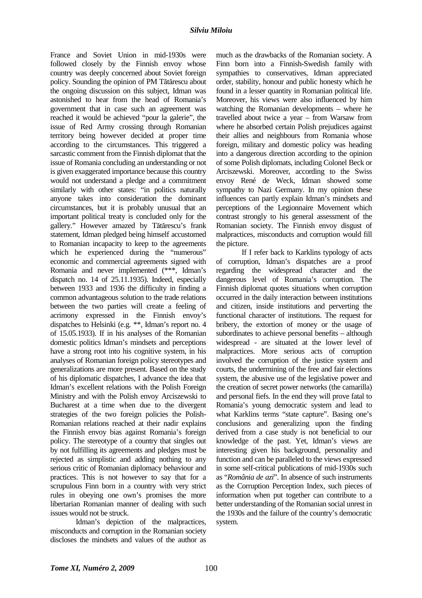France and Soviet Union in mid-1930s were followed closely by the Finnish envoy whose country was deeply concerned about Soviet foreign policy. Sounding the opinion of PM Tătărescu about the ongoing discussion on this subject, Idman was astonished to hear from the head of Romania's government that in case such an agreement was reached it would be achieved "pour la galerie", the issue of Red Army crossing through Romanian territory being however decided at proper time according to the circumstances. This triggered a sarcastic comment from the Finnish diplomat that the issue of Romania concluding an understanding or not is given exaggerated importance because this country would not understand a pledge and a commitment similarly with other states: "in politics naturally anyone takes into consideration the dominant circumstances, but it is probably unusual that an important political treaty is concluded only for the gallery." However amazed by Tătărescu's frank statement, Idman pledged being himself accustomed to Romanian incapacity to keep to the agreements which he experienced during the "numerous" economic and commercial agreements signed with Romania and never implemented (\*\*\*, Idman's dispatch no. 14 of 25.11.1935). Indeed, especially between 1933 and 1936 the difficulty in finding a common advantageous solution to the trade relations between the two parties will create a feeling of acrimony expressed in the Finnish envoy's dispatches to Helsinki (e.g. \*\*, Idman's report no. 4 of 15.05.1933). If in his analyses of the Romanian domestic politics Idman's mindsets and perceptions have a strong root into his cognitive system, in his analyses of Romanian foreign policy stereotypes and generalizations are more present. Based on the study of his diplomatic dispatches, I advance the idea that Idman's excellent relations with the Polish Foreign Ministry and with the Polish envoy Arciszewski to Bucharest at a time when due to the divergent strategies of the two foreign policies the Polish-Romanian relations reached at their nadir explains the Finnish envoy bias against Romania's foreign policy. The stereotype of a country that singles out by not fulfilling its agreements and pledges must be rejected as simplistic and adding nothing to any serious critic of Romanian diplomacy behaviour and practices. This is not however to say that for a scrupulous Finn born in a country with very strict rules in obeying one own's promises the more libertarian Romanian manner of dealing with such issues would not be struck.

Idman's depiction of the malpractices, misconducts and corruption in the Romanian society discloses the mindsets and values of the author as

much as the drawbacks of the Romanian society. A Finn born into a Finnish-Swedish family with sympathies to conservatives, Idman appreciated order, stability, honour and public honesty which he found in a lesser quantity in Romanian political life. Moreover, his views were also influenced by him watching the Romanian developments – where he travelled about twice a year – from Warsaw from where he absorbed certain Polish prejudices against their allies and neighbours from Romania whose foreign, military and domestic policy was heading into a dangerous direction according to the opinion of some Polish diplomats, including Colonel Beck or Arciszewski. Moreover, according to the Swiss envoy René de Weck, Idman showed some sympathy to Nazi Germany. In my opinion these influences can partly explain Idman's mindsets and perceptions of the Legionnaire Movement which contrast strongly to his general assessment of the Romanian society. The Finnish envoy disgust of malpractices, misconducts and corruption would fill the picture.

If I refer back to Karklins typology of acts of corruption, Idman's dispatches are a proof regarding the widespread character and the dangerous level of Romania's corruption. The Finnish diplomat quotes situations when corruption occurred in the daily interaction between institutions and citizen, inside institutions and perverting the functional character of institutions. The request for bribery, the extortion of money or the usage of subordinates to achieve personal benefits – although widespread - are situated at the lower level of malpractices. More serious acts of corruption involved the corruption of the justice system and courts, the undermining of the free and fair elections system, the abusive use of the legislative power and the creation of secret power networks (the camarilla) and personal fiefs. In the end they will prove fatal to Romania's young democratic system and lead to what Karklins terms "state capture". Basing one's conclusions and generalizing upon the finding derived from a case study is not beneficial to our knowledge of the past. Yet, Idman's views are interesting given his background, personality and function and can be paralleled to the views expressed in some self-critical publications of mid-1930s such as "*România de azi*". In absence of such instruments as the Corruption Perception Index, such pieces of information when put together can contribute to a better understanding of the Romanian social unrest in the 1930s and the failure of the country's democratic system.